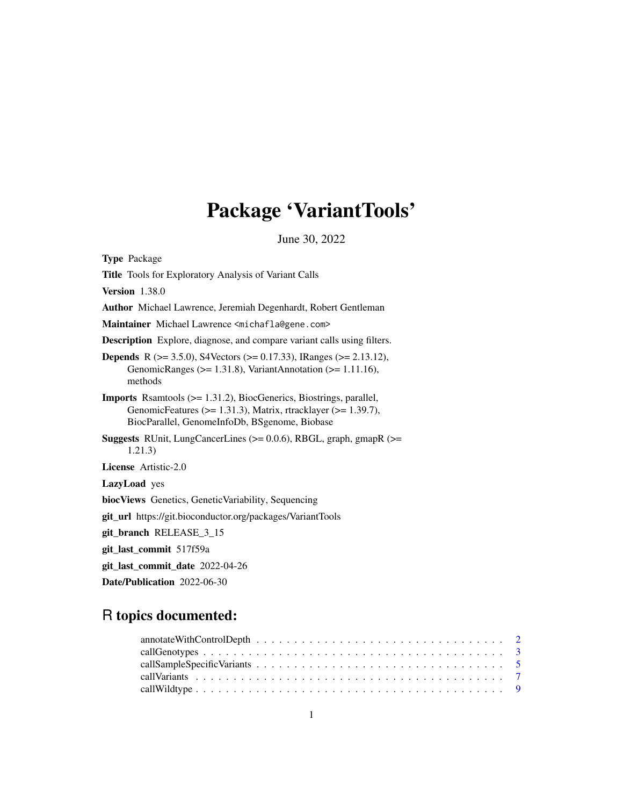# Package 'VariantTools'

June 30, 2022

<span id="page-0-0"></span>Type Package Title Tools for Exploratory Analysis of Variant Calls Version 1.38.0 Author Michael Lawrence, Jeremiah Degenhardt, Robert Gentleman Maintainer Michael Lawrence <michafla@gene.com> Description Explore, diagnose, and compare variant calls using filters. Depends R (>= 3.5.0), S4Vectors (>= 0.17.33), IRanges (>= 2.13.12), GenomicRanges (>= 1.31.8), VariantAnnotation (>= 1.11.16), methods Imports Rsamtools (>= 1.31.2), BiocGenerics, Biostrings, parallel, GenomicFeatures ( $> = 1.31.3$ ), Matrix, rtracklayer ( $> = 1.39.7$ ), BiocParallel, GenomeInfoDb, BSgenome, Biobase Suggests RUnit, LungCancerLines (>= 0.0.6), RBGL, graph, gmapR (>= 1.21.3) License Artistic-2.0 LazyLoad yes biocViews Genetics, GeneticVariability, Sequencing git\_url https://git.bioconductor.org/packages/VariantTools git\_branch RELEASE\_3\_15 git\_last\_commit 517f59a git\_last\_commit\_date 2022-04-26 Date/Publication 2022-06-30

# R topics documented: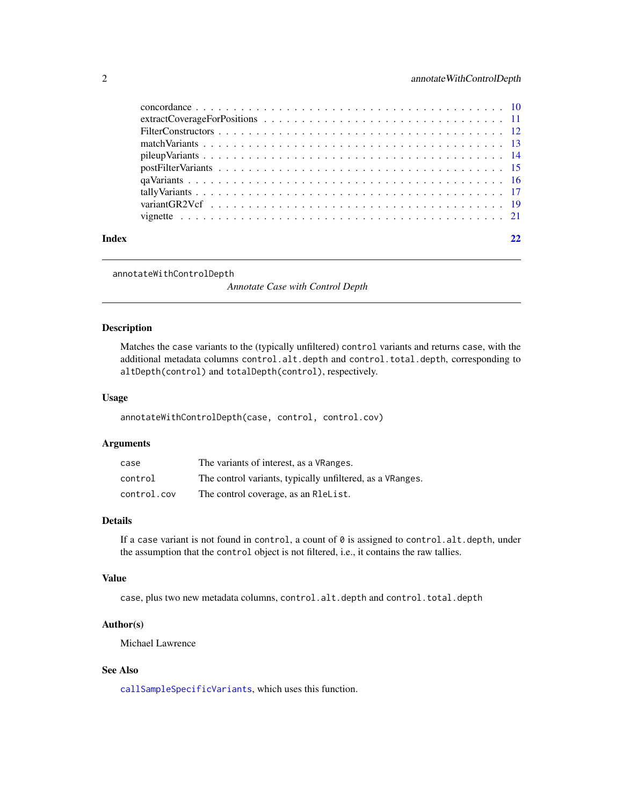<span id="page-1-0"></span>

| Index |  |
|-------|--|
|       |  |
|       |  |
|       |  |
|       |  |
|       |  |
|       |  |
|       |  |
|       |  |
|       |  |
|       |  |

```
annotateWithControlDepth
```
*Annotate Case with Control Depth*

# Description

Matches the case variants to the (typically unfiltered) control variants and returns case, with the additional metadata columns control.alt.depth and control.total.depth, corresponding to altDepth(control) and totalDepth(control), respectively.

### Usage

annotateWithControlDepth(case, control, control.cov)

#### Arguments

| case        | The variants of interest, as a VRanges.                   |
|-------------|-----------------------------------------------------------|
| control     | The control variants, typically unfiltered, as a VRanges. |
| control.cov | The control coverage, as an R1eList.                      |

# Details

If a case variant is not found in control, a count of  $\theta$  is assigned to control.alt.depth, under the assumption that the control object is not filtered, i.e., it contains the raw tallies.

#### Value

case, plus two new metadata columns, control.alt.depth and control.total.depth

# Author(s)

Michael Lawrence

# See Also

[callSampleSpecificVariants](#page-4-1), which uses this function.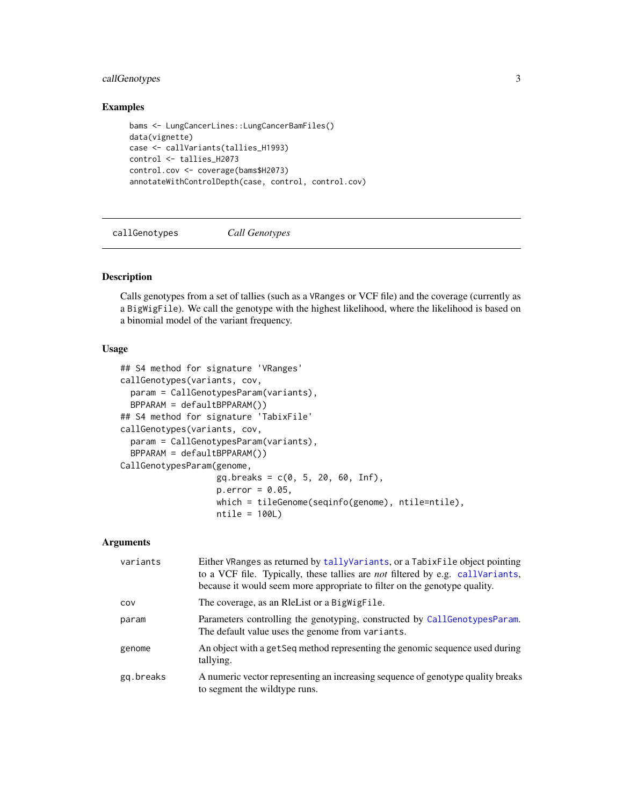# <span id="page-2-0"></span>callGenotypes 3

# Examples

```
bams <- LungCancerLines::LungCancerBamFiles()
data(vignette)
case <- callVariants(tallies_H1993)
control <- tallies_H2073
control.cov <- coverage(bams$H2073)
annotateWithControlDepth(case, control, control.cov)
```
callGenotypes *Call Genotypes*

#### <span id="page-2-1"></span>Description

Calls genotypes from a set of tallies (such as a VRanges or VCF file) and the coverage (currently as a BigWigFile). We call the genotype with the highest likelihood, where the likelihood is based on a binomial model of the variant frequency.

#### Usage

```
## S4 method for signature 'VRanges'
callGenotypes(variants, cov,
  param = CallGenotypesParam(variants),
  BPPARAM = defaultBPPARAM())
## S4 method for signature 'TabixFile'
callGenotypes(variants, cov,
  param = CallGenotypesParam(variants),
  BPPARAM = defaultBPPARAM())
CallGenotypesParam(genome,
                   gq.breaks = c(0, 5, 20, 60, Inf),
                   p.error = 0.05,
                   which = tileGenome(seqinfo(genome), ntile=ntile),
                   ntile = 100L)
```

| variants  | Either VRanges as returned by tallyVariants, or a TabixFile object pointing<br>to a VCF file. Typically, these tallies are <i>not</i> filtered by e.g. callVariants,<br>because it would seem more appropriate to filter on the genotype quality. |
|-----------|---------------------------------------------------------------------------------------------------------------------------------------------------------------------------------------------------------------------------------------------------|
| COV       | The coverage, as an Relative or a Bigwigfile.                                                                                                                                                                                                     |
| param     | Parameters controlling the genotyping, constructed by CallGenotypesParam.<br>The default value uses the genome from variants.                                                                                                                     |
| genome    | An object with a getSeq method representing the genomic sequence used during<br>tallying.                                                                                                                                                         |
| gq.breaks | A numeric vector representing an increasing sequence of genotype quality breaks<br>to segment the wildtype runs.                                                                                                                                  |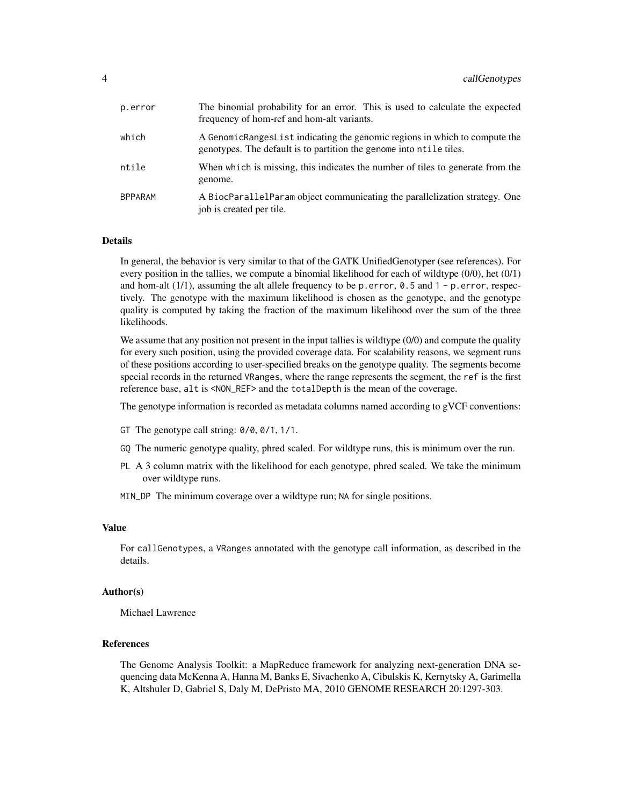| p.error | The binomial probability for an error. This is used to calculate the expected<br>frequency of hom-ref and hom-alt variants.                       |
|---------|---------------------------------------------------------------------------------------------------------------------------------------------------|
| which   | A GenomicRangesList indicating the genomic regions in which to compute the<br>genotypes. The default is to partition the genome into ntile tiles. |
| ntile   | When which is missing, this indicates the number of tiles to generate from the<br>genome.                                                         |
| BPPARAM | A BiocParallelParam object communicating the parallelization strategy. One<br>job is created per tile.                                            |

# Details

In general, the behavior is very similar to that of the GATK UnifiedGenotyper (see references). For every position in the tallies, we compute a binomial likelihood for each of wildtype (0/0), het (0/1) and hom-alt  $(1/1)$ , assuming the alt allele frequency to be p.error,  $0.5$  and  $1 - p$ .error, respectively. The genotype with the maximum likelihood is chosen as the genotype, and the genotype quality is computed by taking the fraction of the maximum likelihood over the sum of the three likelihoods.

We assume that any position not present in the input tallies is wildtype  $(0/0)$  and compute the quality for every such position, using the provided coverage data. For scalability reasons, we segment runs of these positions according to user-specified breaks on the genotype quality. The segments become special records in the returned VRanges, where the range represents the segment, the ref is the first reference base, alt is <NON\_REF> and the totalDepth is the mean of the coverage.

The genotype information is recorded as metadata columns named according to gVCF conventions:

- GT The genotype call string: 0/0, 0/1, 1/1.
- GQ The numeric genotype quality, phred scaled. For wildtype runs, this is minimum over the run.
- PL A 3 column matrix with the likelihood for each genotype, phred scaled. We take the minimum over wildtype runs.
- MIN\_DP The minimum coverage over a wildtype run; NA for single positions.

#### Value

For callGenotypes, a VRanges annotated with the genotype call information, as described in the details.

#### Author(s)

Michael Lawrence

#### References

The Genome Analysis Toolkit: a MapReduce framework for analyzing next-generation DNA sequencing data McKenna A, Hanna M, Banks E, Sivachenko A, Cibulskis K, Kernytsky A, Garimella K, Altshuler D, Gabriel S, Daly M, DePristo MA, 2010 GENOME RESEARCH 20:1297-303.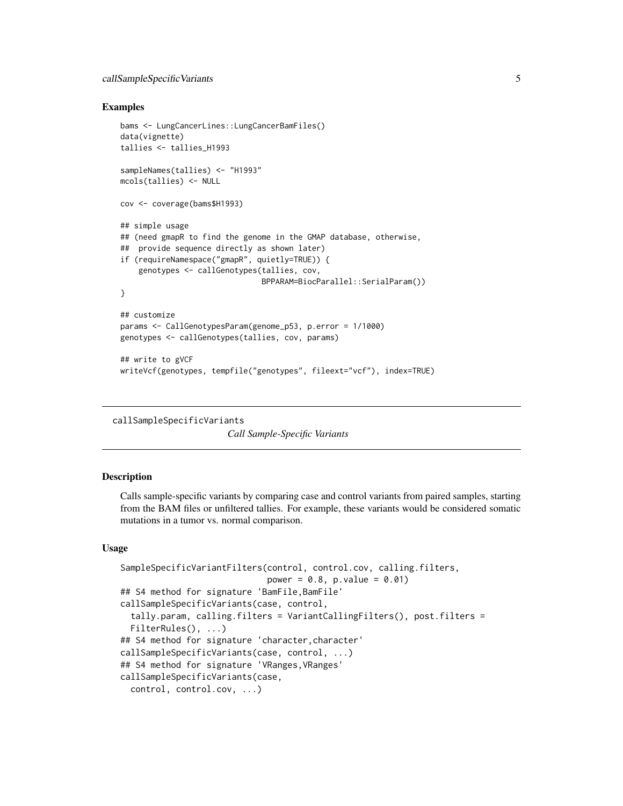#### <span id="page-4-0"></span>Examples

```
bams <- LungCancerLines::LungCancerBamFiles()
data(vignette)
tallies <- tallies_H1993
sampleNames(tallies) <- "H1993"
mcols(tallies) <- NULL
cov <- coverage(bams$H1993)
## simple usage
## (need gmapR to find the genome in the GMAP database, otherwise,
## provide sequence directly as shown later)
if (requireNamespace("gmapR", quietly=TRUE)) {
   genotypes <- callGenotypes(tallies, cov,
                               BPPARAM=BiocParallel::SerialParam())
}
## customize
params <- CallGenotypesParam(genome_p53, p.error = 1/1000)
genotypes <- callGenotypes(tallies, cov, params)
## write to gVCF
writeVcf(genotypes, tempfile("genotypes", fileext="vcf"), index=TRUE)
```
<span id="page-4-1"></span>callSampleSpecificVariants

*Call Sample-Specific Variants*

#### Description

Calls sample-specific variants by comparing case and control variants from paired samples, starting from the BAM files or unfiltered tallies. For example, these variants would be considered somatic mutations in a tumor vs. normal comparison.

#### Usage

```
SampleSpecificVariantFilters(control, control.cov, calling.filters,
                             power = 0.8, p.value = 0.01)## S4 method for signature 'BamFile,BamFile'
callSampleSpecificVariants(case, control,
  tally.param, calling.filters = VariantCallingFilters(), post.filters =
  FilterRules(), ...)
## S4 method for signature 'character, character'
callSampleSpecificVariants(case, control, ...)
## S4 method for signature 'VRanges, VRanges'
callSampleSpecificVariants(case,
 control, control.cov, ...)
```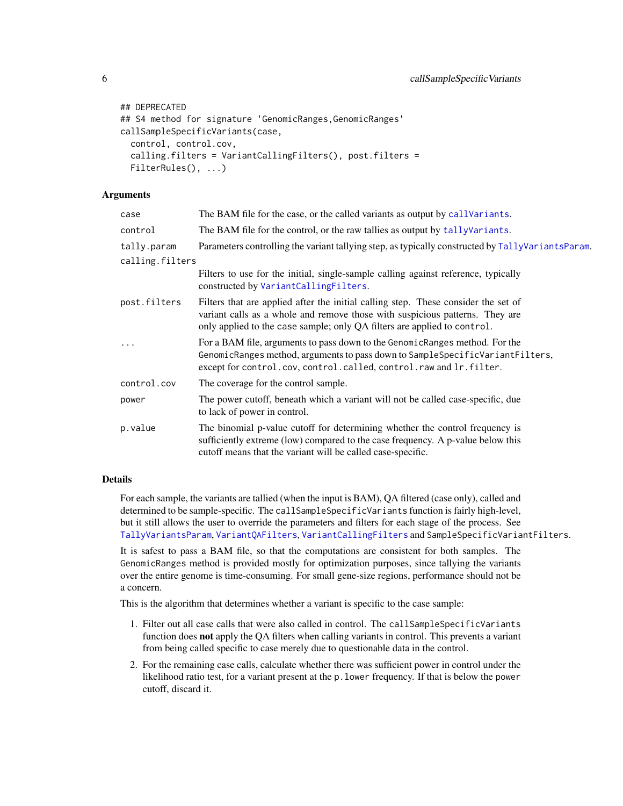```
## DEPRECATED
## S4 method for signature 'GenomicRanges, GenomicRanges'
callSampleSpecificVariants(case,
  control, control.cov,
  calling.filters = VariantCallingFilters(), post.filters =
  FilterRules(), ...)
```
#### Arguments

| case            | The BAM file for the case, or the called variants as output by call Variants.                                                                                                                                                                  |  |
|-----------------|------------------------------------------------------------------------------------------------------------------------------------------------------------------------------------------------------------------------------------------------|--|
| control         | The BAM file for the control, or the raw tallies as output by tally Variants.                                                                                                                                                                  |  |
| tally.param     | Parameters controlling the variant tallying step, as typically constructed by TallyVariantsParam.                                                                                                                                              |  |
| calling.filters |                                                                                                                                                                                                                                                |  |
|                 | Filters to use for the initial, single-sample calling against reference, typically<br>constructed by VariantCallingFilters.                                                                                                                    |  |
| post.filters    | Filters that are applied after the initial calling step. These consider the set of<br>variant calls as a whole and remove those with suspicious patterns. They are<br>only applied to the case sample; only QA filters are applied to control. |  |
|                 | For a BAM file, arguments to pass down to the Genomic Ranges method. For the<br>GenomicRanges method, arguments to pass down to SampleSpecificVariantFilters,<br>except for control.cov, control.called, control.raw and lr.filter.            |  |
| control.cov     | The coverage for the control sample.                                                                                                                                                                                                           |  |
| power           | The power cutoff, beneath which a variant will not be called case-specific, due<br>to lack of power in control.                                                                                                                                |  |
| p.value         | The binomial p-value cutoff for determining whether the control frequency is<br>sufficiently extreme (low) compared to the case frequency. A p-value below this<br>cutoff means that the variant will be called case-specific.                 |  |
|                 |                                                                                                                                                                                                                                                |  |

# **Details**

For each sample, the variants are tallied (when the input is BAM), QA filtered (case only), called and determined to be sample-specific. The callSampleSpecificVariants function is fairly high-level, but it still allows the user to override the parameters and filters for each stage of the process. See [TallyVariantsParam](#page-16-2), [VariantQAFilters](#page-15-1), [VariantCallingFilters](#page-6-2) and SampleSpecificVariantFilters.

It is safest to pass a BAM file, so that the computations are consistent for both samples. The GenomicRanges method is provided mostly for optimization purposes, since tallying the variants over the entire genome is time-consuming. For small gene-size regions, performance should not be a concern.

This is the algorithm that determines whether a variant is specific to the case sample:

- 1. Filter out all case calls that were also called in control. The callSampleSpecificVariants function does not apply the QA filters when calling variants in control. This prevents a variant from being called specific to case merely due to questionable data in the control.
- 2. For the remaining case calls, calculate whether there was sufficient power in control under the likelihood ratio test, for a variant present at the p.lower frequency. If that is below the power cutoff, discard it.

<span id="page-5-0"></span>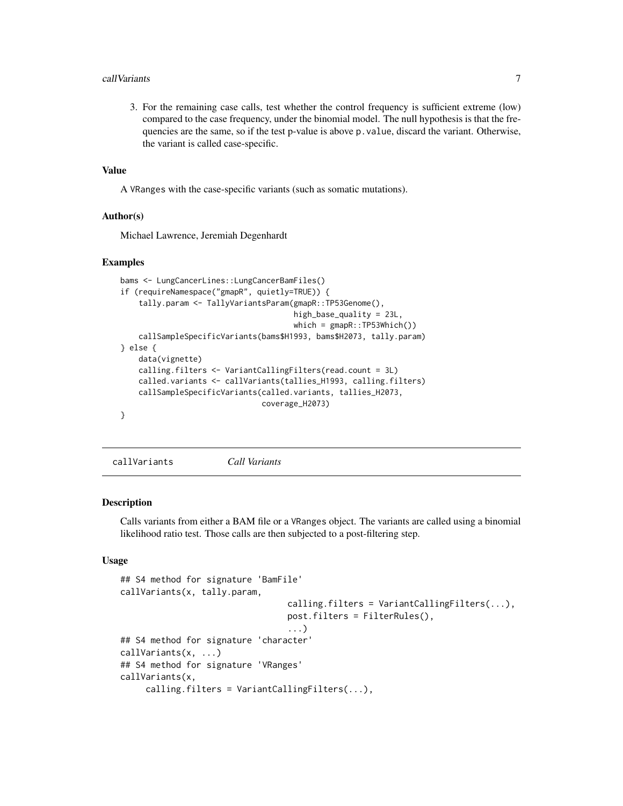#### <span id="page-6-0"></span>call Variants 7 and 2008 and 2008 and 2008 and 2008 and 2008 and 2008 and 2008 and 2008 and 2008 and 2008 and 2008 and 2008 and 2008 and 2008 and 2008 and 2008 and 2008 and 2008 and 2008 and 2008 and 2008 and 2008 and 2008

3. For the remaining case calls, test whether the control frequency is sufficient extreme (low) compared to the case frequency, under the binomial model. The null hypothesis is that the frequencies are the same, so if the test p-value is above p.value, discard the variant. Otherwise, the variant is called case-specific.

#### Value

A VRanges with the case-specific variants (such as somatic mutations).

#### Author(s)

Michael Lawrence, Jeremiah Degenhardt

#### Examples

```
bams <- LungCancerLines::LungCancerBamFiles()
if (requireNamespace("gmapR", quietly=TRUE)) {
    tally.param <- TallyVariantsParam(gmapR::TP53Genome(),
                                      high_base_quality = 23L,
                                      which = \text{gmapR}::TP53Which())callSampleSpecificVariants(bams$H1993, bams$H2073, tally.param)
} else {
    data(vignette)
    calling.filters <- VariantCallingFilters(read.count = 3L)
    called.variants <- callVariants(tallies_H1993, calling.filters)
    callSampleSpecificVariants(called.variants, tallies_H2073,
                               coverage_H2073)
}
```
<span id="page-6-1"></span>callVariants *Call Variants*

#### <span id="page-6-2"></span>Description

Calls variants from either a BAM file or a VRanges object. The variants are called using a binomial likelihood ratio test. Those calls are then subjected to a post-filtering step.

#### Usage

```
## S4 method for signature 'BamFile'
callVariants(x, tally.param,
                                 calling.filters = VariantCallingFilters(...),
                                 post.filters = FilterRules(),
                                 ...)
## S4 method for signature 'character'
callVariants(x, ...)
## S4 method for signature 'VRanges'
callVariants(x,
     calling.filters = VariantCallingFilters(...),
```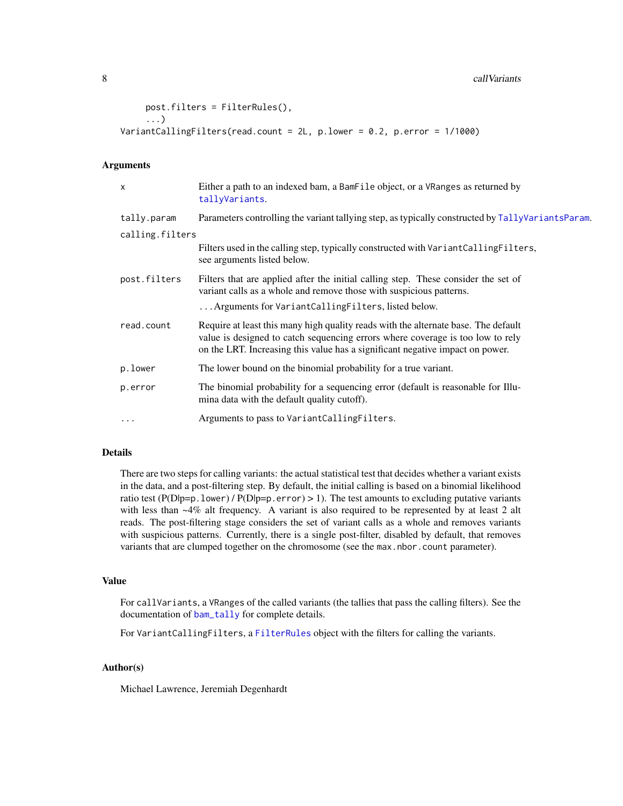#### <span id="page-7-0"></span>8 call Variants and the contract of the contract of the contract of the contract of the contract of the contract of the contract of the contract of the contract of the contract of the contract of the contract of the contra

```
post.filters = FilterRules(),
     ...)
VariantCallingFilters(read.count = 2L, p.lower = 0.2, p.error = 1/1000)
```
#### Arguments

| $\boldsymbol{\mathsf{x}}$ | Either a path to an indexed bam, a BamFile object, or a VRanges as returned by<br>tallyVariants.                                                                                                                                                      |
|---------------------------|-------------------------------------------------------------------------------------------------------------------------------------------------------------------------------------------------------------------------------------------------------|
| tally.param               | Parameters controlling the variant tallying step, as typically constructed by TallyVariantsParam.                                                                                                                                                     |
| calling.filters           |                                                                                                                                                                                                                                                       |
|                           | Filters used in the calling step, typically constructed with VariantCallingFilters,<br>see arguments listed below.                                                                                                                                    |
| post.filters              | Filters that are applied after the initial calling step. These consider the set of<br>variant calls as a whole and remove those with suspicious patterns.                                                                                             |
|                           | Arguments for VariantCallingFilters, listed below.                                                                                                                                                                                                    |
| read.count                | Require at least this many high quality reads with the alternate base. The default<br>value is designed to catch sequencing errors where coverage is too low to rely<br>on the LRT. Increasing this value has a significant negative impact on power. |
| p.lower                   | The lower bound on the binomial probability for a true variant.                                                                                                                                                                                       |
| p.error                   | The binomial probability for a sequencing error (default is reasonable for Illu-<br>mina data with the default quality cutoff).                                                                                                                       |
| $\cdots$                  | Arguments to pass to VariantCallingFilters.                                                                                                                                                                                                           |

# Details

There are two steps for calling variants: the actual statistical test that decides whether a variant exists in the data, and a post-filtering step. By default, the initial calling is based on a binomial likelihood ratio test (P(Dlp=p.lower) / P(Dlp=p.error) > 1). The test amounts to excluding putative variants with less than ~4% alt frequency. A variant is also required to be represented by at least 2 alt reads. The post-filtering stage considers the set of variant calls as a whole and removes variants with suspicious patterns. Currently, there is a single post-filter, disabled by default, that removes variants that are clumped together on the chromosome (see the max.nbor.count parameter).

#### Value

For callVariants, a VRanges of the called variants (the tallies that pass the calling filters). See the documentation of [bam\\_tally](#page-0-0) for complete details.

For VariantCallingFilters, a [FilterRules](#page-0-0) object with the filters for calling the variants.

# Author(s)

Michael Lawrence, Jeremiah Degenhardt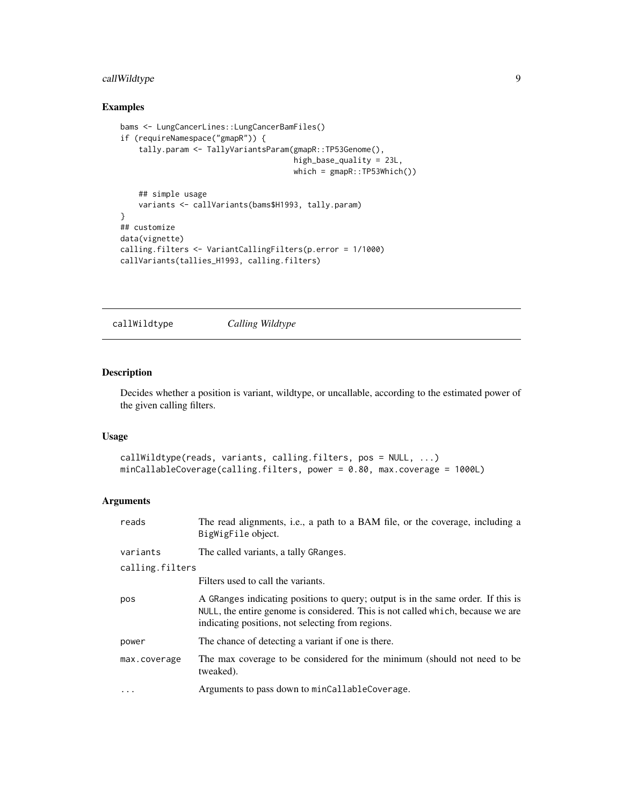# <span id="page-8-0"></span>callWildtype 9

# Examples

```
bams <- LungCancerLines::LungCancerBamFiles()
if (requireNamespace("gmapR")) {
    tally.param <- TallyVariantsParam(gmapR::TP53Genome(),
                                      high_base_quality = 23L,
                                      which = \text{gmapR}::TP53Which()## simple usage
   variants <- callVariants(bams$H1993, tally.param)
}
## customize
data(vignette)
calling.filters <- VariantCallingFilters(p.error = 1/1000)
callVariants(tallies_H1993, calling.filters)
```
callWildtype *Calling Wildtype*

#### Description

Decides whether a position is variant, wildtype, or uncallable, according to the estimated power of the given calling filters.

## Usage

```
callWildtype(reads, variants, calling.filters, pos = NULL, ...)
minCallableCoverage(calling.filters, power = 0.80, max.coverage = 1000L)
```

| reads           | The read alignments, i.e., a path to a BAM file, or the coverage, including a<br>BigWigFile object.                                                                                                                      |
|-----------------|--------------------------------------------------------------------------------------------------------------------------------------------------------------------------------------------------------------------------|
| variants        | The called variants, a tally GRanges.                                                                                                                                                                                    |
| calling.filters |                                                                                                                                                                                                                          |
|                 | Filters used to call the variants.                                                                                                                                                                                       |
| pos             | A GRanges indicating positions to query; output is in the same order. If this is<br>NULL, the entire genome is considered. This is not called which, because we are<br>indicating positions, not selecting from regions. |
| power           | The chance of detecting a variant if one is there.                                                                                                                                                                       |
| max.coverage    | The max coverage to be considered for the minimum (should not need to be<br>tweaked).                                                                                                                                    |
| .               | Arguments to pass down to minCallableCoverage.                                                                                                                                                                           |
|                 |                                                                                                                                                                                                                          |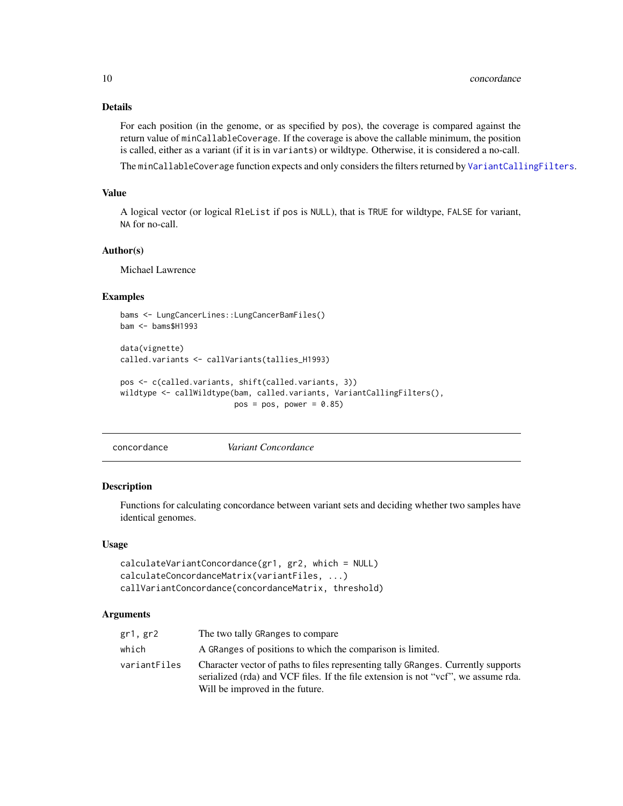# Details

For each position (in the genome, or as specified by pos), the coverage is compared against the return value of minCallableCoverage. If the coverage is above the callable minimum, the position is called, either as a variant (if it is in variants) or wildtype. Otherwise, it is considered a no-call.

The minCallableCoverage function expects and only considers the filters returned by [VariantCallingFilters](#page-6-2).

#### Value

A logical vector (or logical RleList if pos is NULL), that is TRUE for wildtype, FALSE for variant, NA for no-call.

#### Author(s)

Michael Lawrence

# Examples

```
bams <- LungCancerLines::LungCancerBamFiles()
bam <- bams$H1993
```

```
data(vignette)
called.variants <- callVariants(tallies_H1993)
```

```
pos <- c(called.variants, shift(called.variants, 3))
wildtype <- callWildtype(bam, called.variants, VariantCallingFilters(),
                        pos = pos, power = 0.85)
```
concordance *Variant Concordance*

#### Description

Functions for calculating concordance between variant sets and deciding whether two samples have identical genomes.

#### Usage

```
calculateVariantConcordance(gr1, gr2, which = NULL)
calculateConcordanceMatrix(variantFiles, ...)
callVariantConcordance(concordanceMatrix, threshold)
```

| gr1, gr2     | The two tally GRanges to compare                                                                                                                                                                           |
|--------------|------------------------------------------------------------------------------------------------------------------------------------------------------------------------------------------------------------|
| which        | A GRanges of positions to which the comparison is limited.                                                                                                                                                 |
| variantFiles | Character vector of paths to files representing tally GRanges. Currently supports<br>serialized (rda) and VCF files. If the file extension is not "vcf", we assume rda.<br>Will be improved in the future. |

<span id="page-9-0"></span>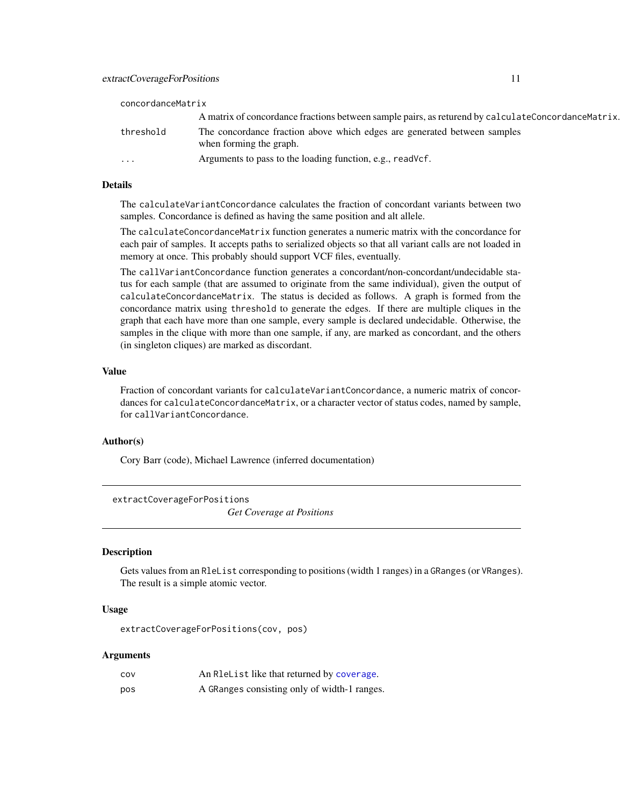<span id="page-10-0"></span>

| concordanceMatrix |                                                                                                     |  |
|-------------------|-----------------------------------------------------------------------------------------------------|--|
|                   | A matrix of concordance fractions between sample pairs, as returend by calculateConcordanceMatrix.  |  |
| threshold         | The concordance fraction above which edges are generated between samples<br>when forming the graph. |  |
| $\cdots$          | Arguments to pass to the loading function, e.g., readVcf.                                           |  |

#### Details

The calculateVariantConcordance calculates the fraction of concordant variants between two samples. Concordance is defined as having the same position and alt allele.

The calculateConcordanceMatrix function generates a numeric matrix with the concordance for each pair of samples. It accepts paths to serialized objects so that all variant calls are not loaded in memory at once. This probably should support VCF files, eventually.

The callVariantConcordance function generates a concordant/non-concordant/undecidable status for each sample (that are assumed to originate from the same individual), given the output of calculateConcordanceMatrix. The status is decided as follows. A graph is formed from the concordance matrix using threshold to generate the edges. If there are multiple cliques in the graph that each have more than one sample, every sample is declared undecidable. Otherwise, the samples in the clique with more than one sample, if any, are marked as concordant, and the others (in singleton cliques) are marked as discordant.

# Value

Fraction of concordant variants for calculateVariantConcordance, a numeric matrix of concordances for calculateConcordanceMatrix, or a character vector of status codes, named by sample, for callVariantConcordance.

#### Author(s)

Cory Barr (code), Michael Lawrence (inferred documentation)

extractCoverageForPositions

*Get Coverage at Positions*

# Description

Gets values from an RleList corresponding to positions (width 1 ranges) in a GRanges (or VRanges). The result is a simple atomic vector.

#### Usage

extractCoverageForPositions(cov, pos)

| COV | An R1eList like that returned by coverage.   |
|-----|----------------------------------------------|
| pos | A GRanges consisting only of width-1 ranges. |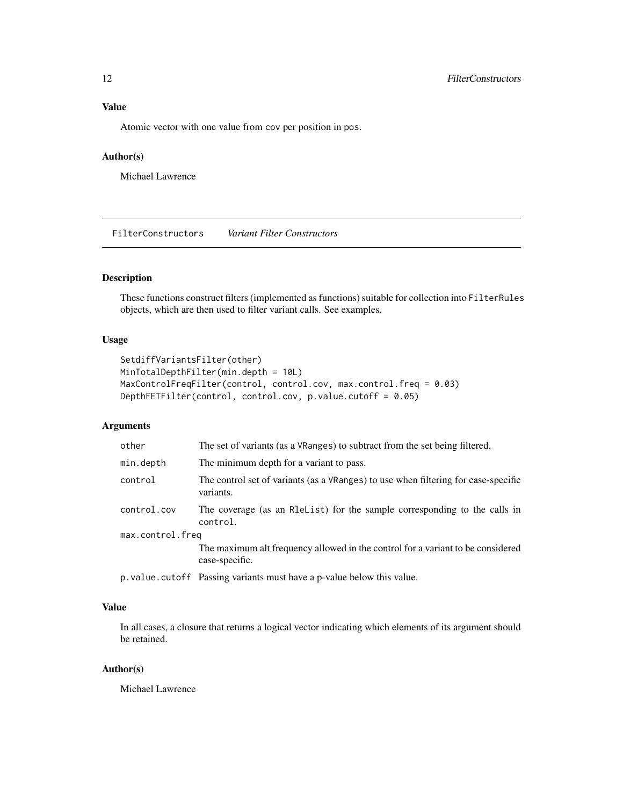# <span id="page-11-0"></span>Value

Atomic vector with one value from cov per position in pos.

# Author(s)

Michael Lawrence

FilterConstructors *Variant Filter Constructors*

# Description

These functions construct filters (implemented as functions) suitable for collection into FilterRules objects, which are then used to filter variant calls. See examples.

#### Usage

```
SetdiffVariantsFilter(other)
MinTotalDepthFilter(min.depth = 10L)
MaxControlFreqFilter(control, control.cov, max.control.freq = 0.03)
DepthFETFilter(control, control.cov, p.value.cutoff = 0.05)
```
# Arguments

| other            | The set of variants (as a VRanges) to subtract from the set being filtered.                       |  |
|------------------|---------------------------------------------------------------------------------------------------|--|
| min.depth        | The minimum depth for a variant to pass.                                                          |  |
| control          | The control set of variants (as a VRanges) to use when filtering for case-specific<br>variants.   |  |
| control.cov      | The coverage (as an Releast) for the sample corresponding to the calls in<br>control.             |  |
| max.control.freq |                                                                                                   |  |
|                  | The maximum alt frequency allowed in the control for a variant to be considered<br>case-specific. |  |
|                  | p. value. cutoff Passing variants must have a p-value below this value.                           |  |

# Value

In all cases, a closure that returns a logical vector indicating which elements of its argument should be retained.

#### Author(s)

Michael Lawrence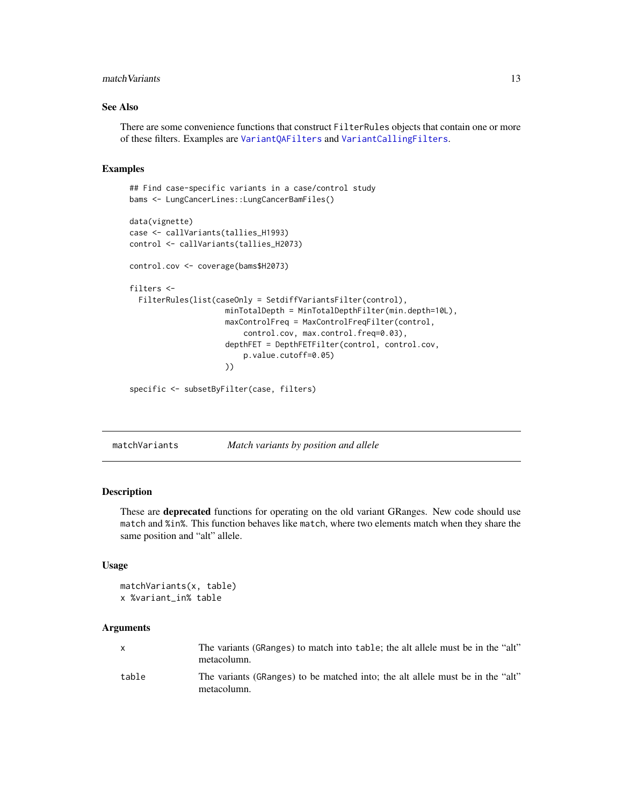#### <span id="page-12-0"></span>match Variants 13

## See Also

There are some convenience functions that construct FilterRules objects that contain one or more of these filters. Examples are [VariantQAFilters](#page-15-1) and [VariantCallingFilters](#page-6-2).

### Examples

```
## Find case-specific variants in a case/control study
bams <- LungCancerLines::LungCancerBamFiles()
data(vignette)
case <- callVariants(tallies_H1993)
control <- callVariants(tallies_H2073)
control.cov <- coverage(bams$H2073)
filters <-
 FilterRules(list(caseOnly = SetdiffVariantsFilter(control),
                     minTotalDepth = MinTotalDepthFilter(min.depth=10L),
                     maxControlFreq = MaxControlFreqFilter(control,
                         control.cov, max.control.freq=0.03),
                     depthFET = DepthFETFilter(control, control.cov,
                         p.value.cutoff=0.05)
                     ))
```
specific <- subsetByFilter(case, filters)

matchVariants *Match variants by position and allele*

#### Description

These are deprecated functions for operating on the old variant GRanges. New code should use match and %in%. This function behaves like match, where two elements match when they share the same position and "alt" allele.

# Usage

```
matchVariants(x, table)
x %variant_in% table
```

| $\mathsf{x}$ | The variants (GRanges) to match into table; the alt allele must be in the "alt"<br>metacolumn. |
|--------------|------------------------------------------------------------------------------------------------|
| table        | The variants (GRanges) to be matched into; the alt allele must be in the "alt"<br>metacolumn.  |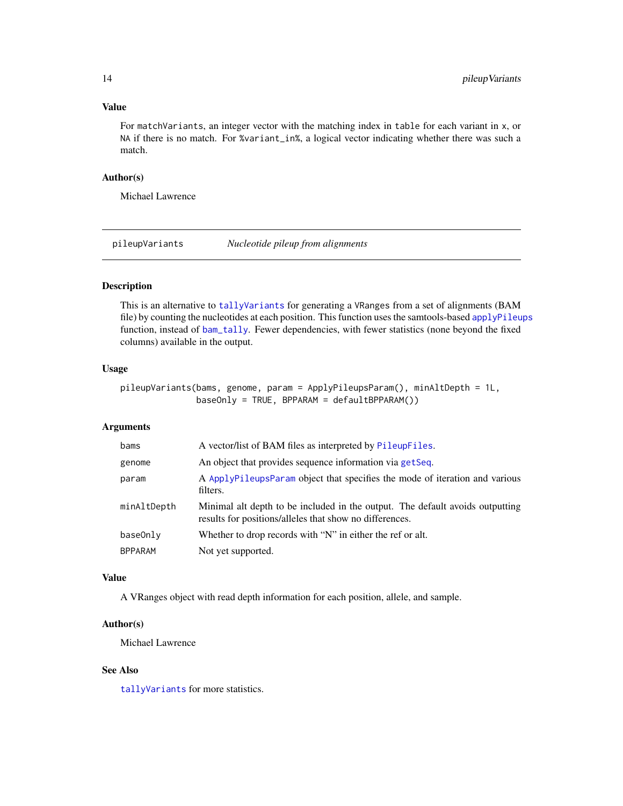#### <span id="page-13-0"></span>Value

For matchVariants, an integer vector with the matching index in table for each variant in x, or NA if there is no match. For %variant\_in%, a logical vector indicating whether there was such a match.

#### Author(s)

Michael Lawrence

pileupVariants *Nucleotide pileup from alignments*

# Description

This is an alternative to [tallyVariants](#page-16-1) for generating a VRanges from a set of alignments (BAM file) by counting the nucleotides at each position. This function uses the samtools-based [applyPileups](#page-0-0) function, instead of [bam\\_tally](#page-0-0). Fewer dependencies, with fewer statistics (none beyond the fixed columns) available in the output.

# Usage

pileupVariants(bams, genome, param = ApplyPileupsParam(), minAltDepth = 1L, baseOnly = TRUE, BPPARAM = defaultBPPARAM())

#### Arguments

| bams           | A vector/list of BAM files as interpreted by PileupFiles.                                                                                |
|----------------|------------------------------------------------------------------------------------------------------------------------------------------|
| genome         | An object that provides sequence information via getSeq.                                                                                 |
| param          | A ApplyPileupsParam object that specifies the mode of iteration and various<br>filters.                                                  |
| minAltDepth    | Minimal alt depth to be included in the output. The default avoids outputting<br>results for positions/alleles that show no differences. |
| baseOnly       | Whether to drop records with "N" in either the ref or alt.                                                                               |
| <b>BPPARAM</b> | Not yet supported.                                                                                                                       |

#### Value

A VRanges object with read depth information for each position, allele, and sample.

#### Author(s)

Michael Lawrence

# See Also

[tallyVariants](#page-16-1) for more statistics.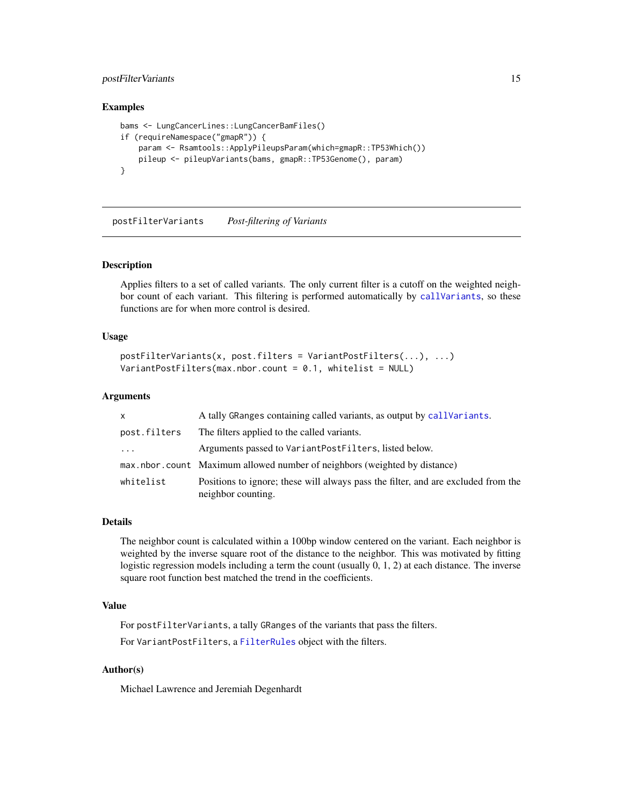# <span id="page-14-0"></span>postFilterVariants 15

#### Examples

```
bams <- LungCancerLines::LungCancerBamFiles()
if (requireNamespace("gmapR")) {
   param <- Rsamtools::ApplyPileupsParam(which=gmapR::TP53Which())
   pileup <- pileupVariants(bams, gmapR::TP53Genome(), param)
}
```
postFilterVariants *Post-filtering of Variants*

# Description

Applies filters to a set of called variants. The only current filter is a cutoff on the weighted neighbor count of each variant. This filtering is performed automatically by [callVariants](#page-6-1), so these functions are for when more control is desired.

#### Usage

```
postFilterVariants(x, post.filters = VariantPostFilters(...), ...)
VariantPostFilters(max.nbor.count = 0.1, whitelist = NULL)
```
#### Arguments

| X            | A tally GRanges containing called variants, as output by callVariants.                                  |
|--------------|---------------------------------------------------------------------------------------------------------|
| post.filters | The filters applied to the called variants.                                                             |
| $\cdot$      | Arguments passed to VariantPostFilters, listed below.                                                   |
|              | max.nbor.count Maximum allowed number of neighbors (weighted by distance)                               |
| whitelist    | Positions to ignore; these will always pass the filter, and are excluded from the<br>neighbor counting. |

#### Details

The neighbor count is calculated within a 100bp window centered on the variant. Each neighbor is weighted by the inverse square root of the distance to the neighbor. This was motivated by fitting logistic regression models including a term the count (usually 0, 1, 2) at each distance. The inverse square root function best matched the trend in the coefficients.

# Value

For postFilterVariants, a tally GRanges of the variants that pass the filters.

For VariantPostFilters, a [FilterRules](#page-0-0) object with the filters.

#### Author(s)

Michael Lawrence and Jeremiah Degenhardt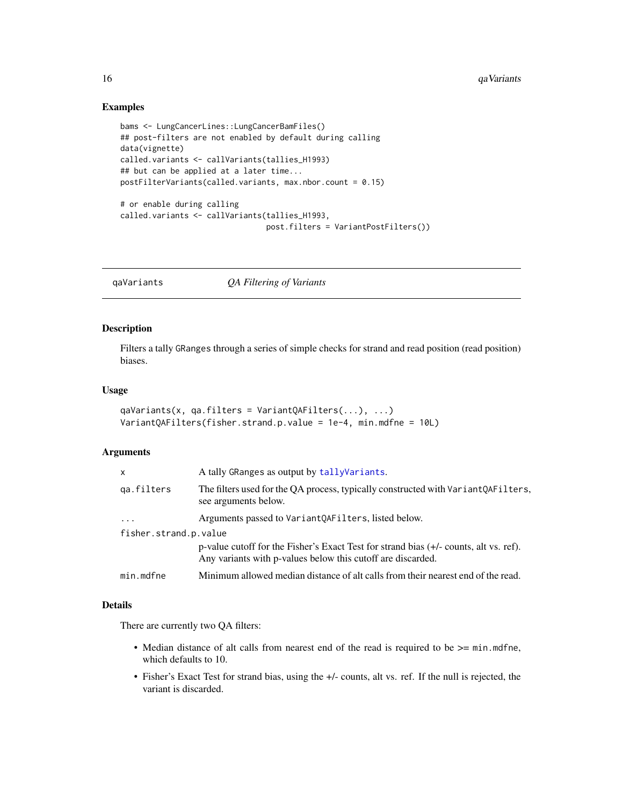#### Examples

```
bams <- LungCancerLines::LungCancerBamFiles()
## post-filters are not enabled by default during calling
data(vignette)
called.variants <- callVariants(tallies_H1993)
## but can be applied at a later time...
postFilterVariants(called.variants, max.nbor.count = 0.15)
# or enable during calling
called.variants <- callVariants(tallies_H1993,
                                post.filters = VariantPostFilters())
```
<span id="page-15-2"></span>qaVariants *QA Filtering of Variants*

#### <span id="page-15-1"></span>Description

Filters a tally GRanges through a series of simple checks for strand and read position (read position) biases.

#### Usage

```
qaVariants(x, qa.filters = VariantQAFilters(...), ...)
VariantQAFilters(fisher.strand.p.value = 1e-4, min.mdfne = 10L)
```
#### Arguments

| x                     | A tally GRanges as output by tally Variants.                                                                                                         |
|-----------------------|------------------------------------------------------------------------------------------------------------------------------------------------------|
| qa.filters            | The filters used for the QA process, typically constructed with VariantQAFilters,<br>see arguments below.                                            |
| $\cdots$              | Arguments passed to Variant QAFilters, listed below.                                                                                                 |
| fisher.strand.p.value |                                                                                                                                                      |
|                       | p-value cutoff for the Fisher's Exact Test for strand bias (+/- counts, alt vs. ref).<br>Any variants with p-values below this cutoff are discarded. |
| min.mdfne             | Minimum allowed median distance of alt calls from their nearest end of the read.                                                                     |

#### Details

There are currently two QA filters:

- Median distance of alt calls from nearest end of the read is required to be  $\geq$ = min.mdfne, which defaults to 10.
- Fisher's Exact Test for strand bias, using the +/- counts, alt vs. ref. If the null is rejected, the variant is discarded.

<span id="page-15-0"></span>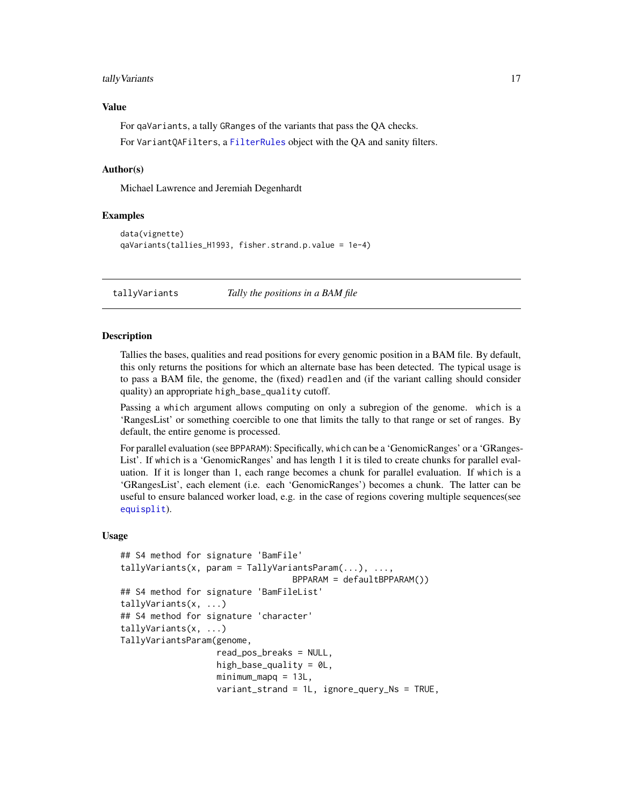#### <span id="page-16-0"></span>tally Variants 17

#### Value

For qaVariants, a tally GRanges of the variants that pass the QA checks.

For VariantQAFilters, a [FilterRules](#page-0-0) object with the QA and sanity filters.

#### Author(s)

Michael Lawrence and Jeremiah Degenhardt

#### Examples

```
data(vignette)
qaVariants(tallies_H1993, fisher.strand.p.value = 1e-4)
```
<span id="page-16-1"></span>tallyVariants *Tally the positions in a BAM file*

#### <span id="page-16-2"></span>Description

Tallies the bases, qualities and read positions for every genomic position in a BAM file. By default, this only returns the positions for which an alternate base has been detected. The typical usage is to pass a BAM file, the genome, the (fixed) readlen and (if the variant calling should consider quality) an appropriate high\_base\_quality cutoff.

Passing a which argument allows computing on only a subregion of the genome. which is a 'RangesList' or something coercible to one that limits the tally to that range or set of ranges. By default, the entire genome is processed.

For parallel evaluation (see BPPARAM): Specifically, which can be a 'GenomicRanges' or a 'GRanges-List'. If which is a 'GenomicRanges' and has length 1 it is tiled to create chunks for parallel evaluation. If it is longer than 1, each range becomes a chunk for parallel evaluation. If which is a 'GRangesList', each element (i.e. each 'GenomicRanges') becomes a chunk. The latter can be useful to ensure balanced worker load, e.g. in the case of regions covering multiple sequences(see [equisplit](#page-0-0)).

#### Usage

```
## S4 method for signature 'BamFile'
tallyVariants(x, param = TallyVariantsParam(...), ...,
                                  BPPARAM = defaultBPPARAM())
## S4 method for signature 'BamFileList'
tallyVariants(x, ...)
## S4 method for signature 'character'
tallyVariants(x, ...)
TallyVariantsParam(genome,
                   read_pos_breaks = NULL,
                   high_base_quality = @L,
                   minimum_mapq = 13L,
                   variant_strand = 1L, ignore_query_Ns = TRUE,
```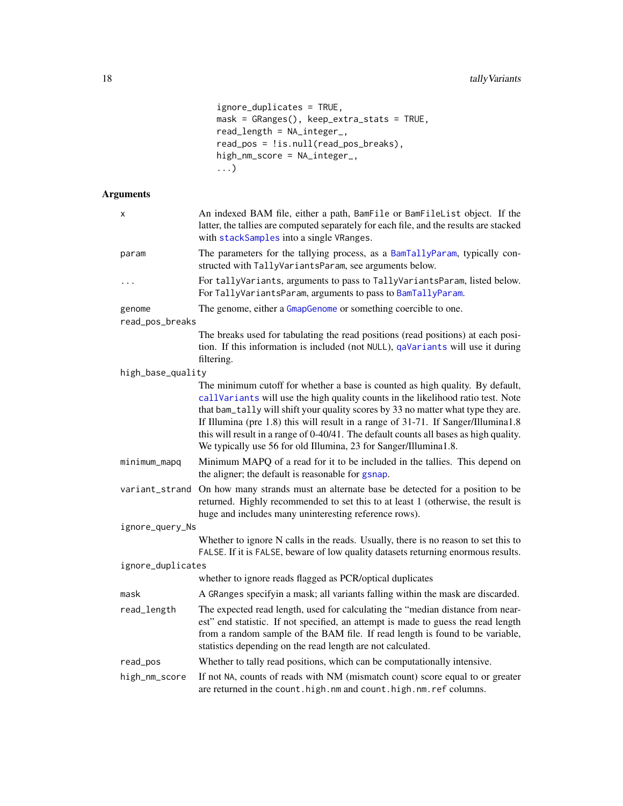```
ignore_duplicates = TRUE,
mask = GRanges(), keep_extra_stats = TRUE,
read_length = NA_interest_read_pos = !is.null(read_pos_breaks),
high_nm_score = NA_integer_,
...)
```

| X                 | An indexed BAM file, either a path, BamFile or BamFileList object. If the<br>latter, the tallies are computed separately for each file, and the results are stacked<br>with stackSamples into a single VRanges.                                                                                                                                                                                                                                                                                          |
|-------------------|----------------------------------------------------------------------------------------------------------------------------------------------------------------------------------------------------------------------------------------------------------------------------------------------------------------------------------------------------------------------------------------------------------------------------------------------------------------------------------------------------------|
| param             | The parameters for the tallying process, as a BamTallyParam, typically con-<br>structed with TallyVariantsParam, see arguments below.                                                                                                                                                                                                                                                                                                                                                                    |
| .                 | For tallyVariants, arguments to pass to TallyVariantsParam, listed below.<br>For TallyVariantsParam, arguments to pass to BamTallyParam.                                                                                                                                                                                                                                                                                                                                                                 |
| genome            | The genome, either a GmapGenome or something coercible to one.                                                                                                                                                                                                                                                                                                                                                                                                                                           |
| read_pos_breaks   |                                                                                                                                                                                                                                                                                                                                                                                                                                                                                                          |
|                   | The breaks used for tabulating the read positions (read positions) at each posi-<br>tion. If this information is included (not NULL), qaVariants will use it during<br>filtering.                                                                                                                                                                                                                                                                                                                        |
| high_base_quality |                                                                                                                                                                                                                                                                                                                                                                                                                                                                                                          |
|                   | The minimum cutoff for whether a base is counted as high quality. By default,<br>callVariants will use the high quality counts in the likelihood ratio test. Note<br>that bam_tally will shift your quality scores by 33 no matter what type they are.<br>If Illumina (pre 1.8) this will result in a range of 31-71. If Sanger/Illumina1.8<br>this will result in a range of 0-40/41. The default counts all bases as high quality.<br>We typically use 56 for old Illumina, 23 for Sanger/Illumina1.8. |
| minimum_mapq      | Minimum MAPQ of a read for it to be included in the tallies. This depend on<br>the aligner; the default is reasonable for gsnap.                                                                                                                                                                                                                                                                                                                                                                         |
| variant_strand    | On how many strands must an alternate base be detected for a position to be<br>returned. Highly recommended to set this to at least 1 (otherwise, the result is<br>huge and includes many uninteresting reference rows).                                                                                                                                                                                                                                                                                 |
| ignore_query_Ns   |                                                                                                                                                                                                                                                                                                                                                                                                                                                                                                          |
|                   | Whether to ignore N calls in the reads. Usually, there is no reason to set this to<br>FALSE. If it is FALSE, beware of low quality datasets returning enormous results.                                                                                                                                                                                                                                                                                                                                  |
| ignore_duplicates |                                                                                                                                                                                                                                                                                                                                                                                                                                                                                                          |
|                   | whether to ignore reads flagged as PCR/optical duplicates                                                                                                                                                                                                                                                                                                                                                                                                                                                |
| mask              | A GRanges specifyin a mask; all variants falling within the mask are discarded.                                                                                                                                                                                                                                                                                                                                                                                                                          |
| read_length       | The expected read length, used for calculating the "median distance from near-<br>est" end statistic. If not specified, an attempt is made to guess the read length<br>from a random sample of the BAM file. If read length is found to be variable,<br>statistics depending on the read length are not calculated.                                                                                                                                                                                      |
| read_pos          | Whether to tally read positions, which can be computationally intensive.                                                                                                                                                                                                                                                                                                                                                                                                                                 |
| high_nm_score     | If not NA, counts of reads with NM (mismatch count) score equal to or greater<br>are returned in the count.high.nm and count.high.nm.ref columns.                                                                                                                                                                                                                                                                                                                                                        |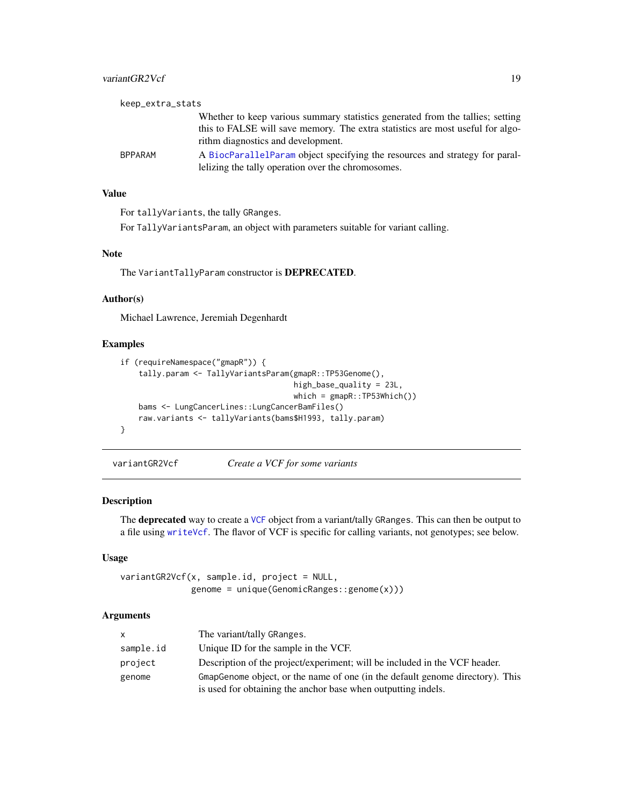#### <span id="page-18-0"></span>variantGR2Vcf 19

| keep_extra_stats |                                                                                |
|------------------|--------------------------------------------------------------------------------|
|                  | Whether to keep various summary statistics generated from the tallies; setting |
|                  | this to FALSE will save memory. The extra statistics are most useful for algo- |
|                  | rithm diagnostics and development.                                             |
| <b>BPPARAM</b>   | A BiocParallelParam object specifying the resources and strategy for paral-    |
|                  | lelizing the tally operation over the chromosomes.                             |

#### Value

For tallyVariants, the tally GRanges.

For TallyVariantsParam, an object with parameters suitable for variant calling.

# Note

The VariantTallyParam constructor is DEPRECATED.

#### Author(s)

Michael Lawrence, Jeremiah Degenhardt

#### Examples

```
if (requireNamespace("gmapR")) {
    tally.param <- TallyVariantsParam(gmapR::TP53Genome(),
                                      high_base_quality = 23L,
                                      which = gmapR::TP53Which()bams <- LungCancerLines::LungCancerBamFiles()
   raw.variants <- tallyVariants(bams$H1993, tally.param)
}
```
variantGR2Vcf *Create a VCF for some variants*

# Description

The deprecated way to create a [VCF](#page-0-0) object from a variant/tally GRanges. This can then be output to a file using [writeVcf](#page-0-0). The flavor of VCF is specific for calling variants, not genotypes; see below.

#### Usage

variantGR2Vcf(x, sample.id, project = NULL, genome = unique(GenomicRanges::genome(x)))

| X         | The variant/tally GRanges.                                                    |
|-----------|-------------------------------------------------------------------------------|
| sample.id | Unique ID for the sample in the VCF.                                          |
| project   | Description of the project/experiment; will be included in the VCF header.    |
| genome    | GmapGenome object, or the name of one (in the default genome directory). This |
|           | is used for obtaining the anchor base when outputting indels.                 |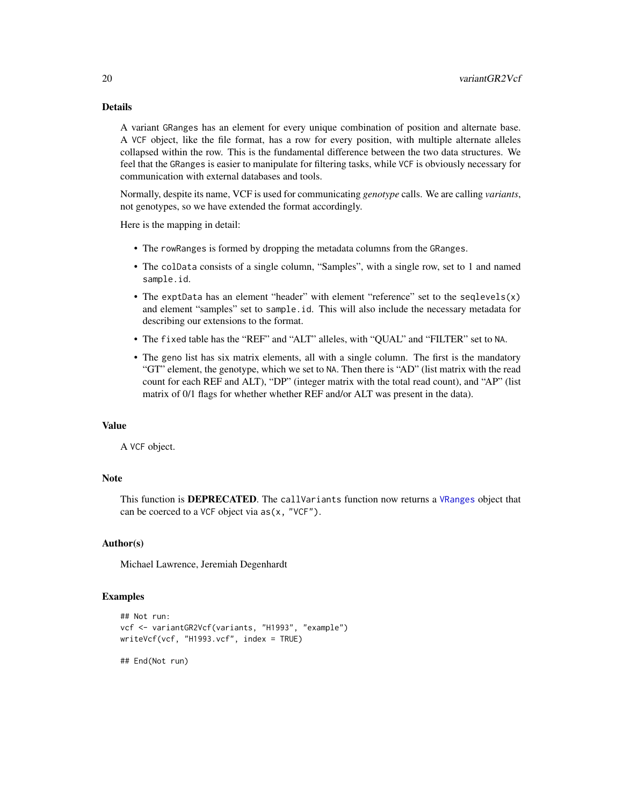# <span id="page-19-0"></span>Details

A variant GRanges has an element for every unique combination of position and alternate base. A VCF object, like the file format, has a row for every position, with multiple alternate alleles collapsed within the row. This is the fundamental difference between the two data structures. We feel that the GRanges is easier to manipulate for filtering tasks, while VCF is obviously necessary for communication with external databases and tools.

Normally, despite its name, VCF is used for communicating *genotype* calls. We are calling *variants*, not genotypes, so we have extended the format accordingly.

Here is the mapping in detail:

- The rowRanges is formed by dropping the metadata columns from the GRanges.
- The colData consists of a single column, "Samples", with a single row, set to 1 and named sample.id.
- The exptData has an element "header" with element "reference" set to the seqlevels(x) and element "samples" set to sample.id. This will also include the necessary metadata for describing our extensions to the format.
- The fixed table has the "REF" and "ALT" alleles, with "QUAL" and "FILTER" set to NA.
- The geno list has six matrix elements, all with a single column. The first is the mandatory "GT" element, the genotype, which we set to NA. Then there is "AD" (list matrix with the read count for each REF and ALT), "DP" (integer matrix with the total read count), and "AP" (list matrix of 0/1 flags for whether whether REF and/or ALT was present in the data).

# Value

A VCF object.

#### **Note**

This function is **DEPRECATED**. The callVariants function now returns a [VRanges](#page-0-0) object that can be coerced to a VCF object via as(x, "VCF").

# Author(s)

Michael Lawrence, Jeremiah Degenhardt

#### Examples

```
## Not run:
vcf <- variantGR2Vcf(variants, "H1993", "example")
writeVcf(vcf, "H1993.vcf", index = TRUE)
```
## End(Not run)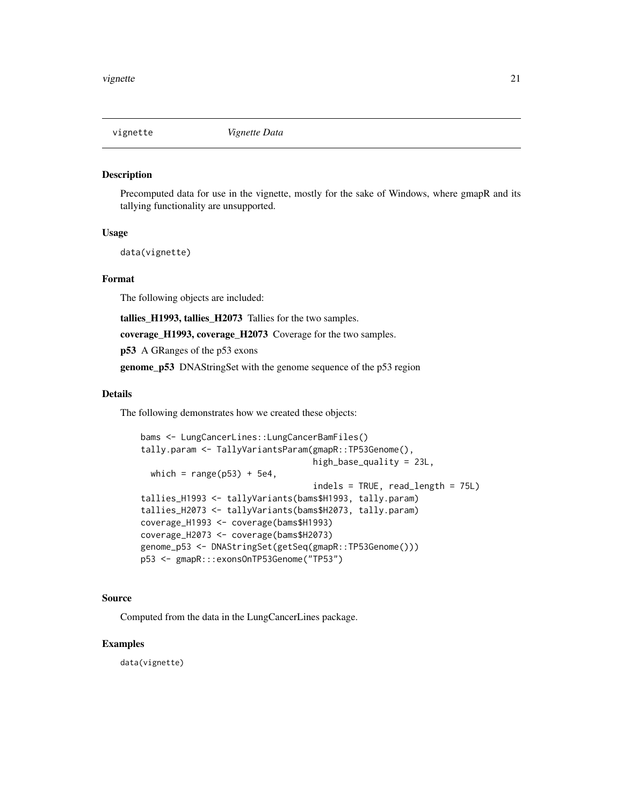<span id="page-20-0"></span>

#### Description

Precomputed data for use in the vignette, mostly for the sake of Windows, where gmapR and its tallying functionality are unsupported.

#### Usage

data(vignette)

### Format

The following objects are included:

tallies\_H1993, tallies\_H2073 Tallies for the two samples.

coverage\_H1993, coverage\_H2073 Coverage for the two samples.

p53 A GRanges of the p53 exons

genome\_p53 DNAStringSet with the genome sequence of the p53 region

#### Details

The following demonstrates how we created these objects:

```
bams <- LungCancerLines::LungCancerBamFiles()
tally.param <- TallyVariantsParam(gmapR::TP53Genome(),
                                  high_base_quality = 23L,
 which = range(p53) + 5e4,
                                  indels = TRUE, read_length = 75L)
tallies_H1993 <- tallyVariants(bams$H1993, tally.param)
tallies_H2073 <- tallyVariants(bams$H2073, tally.param)
coverage_H1993 <- coverage(bams$H1993)
coverage_H2073 <- coverage(bams$H2073)
genome_p53 <- DNAStringSet(getSeq(gmapR::TP53Genome()))
p53 <- gmapR:::exonsOnTP53Genome("TP53")
```
#### Source

Computed from the data in the LungCancerLines package.

#### Examples

data(vignette)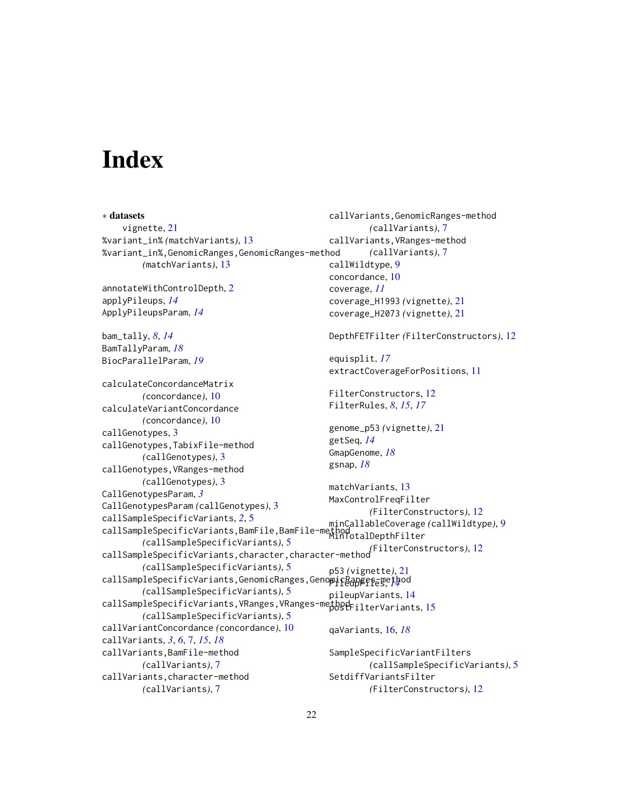# <span id="page-21-0"></span>**Index**

∗ datasets vignette, [21](#page-20-0) %variant\_in% *(*matchVariants*)*, [13](#page-12-0) %variant\_in%,GenomicRanges,GenomicRanges-method *(*matchVariants*)*, [13](#page-12-0) annotateWithControlDepth, [2](#page-1-0) applyPileups, *[14](#page-13-0)* ApplyPileupsParam, *[14](#page-13-0)* bam\_tally, *[8](#page-7-0)*, *[14](#page-13-0)* BamTallyParam, *[18](#page-17-0)* BiocParallelParam, *[19](#page-18-0)* calculateConcordanceMatrix *(*concordance*)*, [10](#page-9-0) calculateVariantConcordance *(*concordance*)*, [10](#page-9-0) callGenotypes, [3](#page-2-0) callGenotypes,TabixFile-method *(*callGenotypes*)*, [3](#page-2-0) callGenotypes,VRanges-method *(*callGenotypes*)*, [3](#page-2-0) CallGenotypesParam, *[3](#page-2-0)* CallGenotypesParam *(*callGenotypes*)*, [3](#page-2-0) callSampleSpecificVariants, *[2](#page-1-0)*, [5](#page-4-0) callSampleSpecificVariants,BamFile,BamFile-method minCallableCoverage *(*callWildtype*)*, [9](#page-8-0) *(*callSampleSpecificVariants*)*, [5](#page-4-0) callSampleSpecificVariants,character,character-method *(*FilterConstructors*)*, [12](#page-11-0) *(*callSampleSpecificVariants*)*, [5](#page-4-0) callSampleSpecificVariants,GenomicRanges,Geno**picRanges**-method *(*callSampleSpecificVariants*)*, [5](#page-4-0) callSampleSpecificVariants, VRanges, VRanges-me<sub>p</sub>hod<sub>FilterVariants, [15](#page-14-0)</sub> *(*callSampleSpecificVariants*)*, [5](#page-4-0) callVariantConcordance *(*concordance*)*, [10](#page-9-0) callVariants, *[3](#page-2-0)*, *[6](#page-5-0)*, [7,](#page-6-0) *[15](#page-14-0)*, *[18](#page-17-0)* callVariants,BamFile-method *(*callVariants*)*, [7](#page-6-0) callVariants,character-method *(*callVariants*)*, [7](#page-6-0) callVariants,GenomicRanges-method *(*callVariants*)*, [7](#page-6-0) callVariants,VRanges-method *(*callVariants*)*, [7](#page-6-0) callWildtype, [9](#page-8-0) concordance, [10](#page-9-0) coverage, *[11](#page-10-0)* coverage\_H1993 *(*vignette*)*, [21](#page-20-0) coverage\_H2073 *(*vignette*)*, [21](#page-20-0) DepthFETFilter *(*FilterConstructors*)*, [12](#page-11-0) equisplit, *[17](#page-16-0)* extractCoverageForPositions, [11](#page-10-0) FilterConstructors, [12](#page-11-0) FilterRules, *[8](#page-7-0)*, *[15](#page-14-0)*, *[17](#page-16-0)* genome\_p53 *(*vignette*)*, [21](#page-20-0) getSeq, *[14](#page-13-0)* GmapGenome, *[18](#page-17-0)* gsnap, *[18](#page-17-0)* matchVariants, [13](#page-12-0) MaxControlFreqFilter *(*FilterConstructors*)*, [12](#page-11-0) MinTotalDepthFilter p53 *(*vignette*)*, [21](#page-20-0) pileupVariants, [14](#page-13-0) qaVariants, [16,](#page-15-0) *[18](#page-17-0)* SampleSpecificVariantFilters *(*callSampleSpecificVariants*)*, [5](#page-4-0) SetdiffVariantsFilter *(*FilterConstructors*)*, [12](#page-11-0)